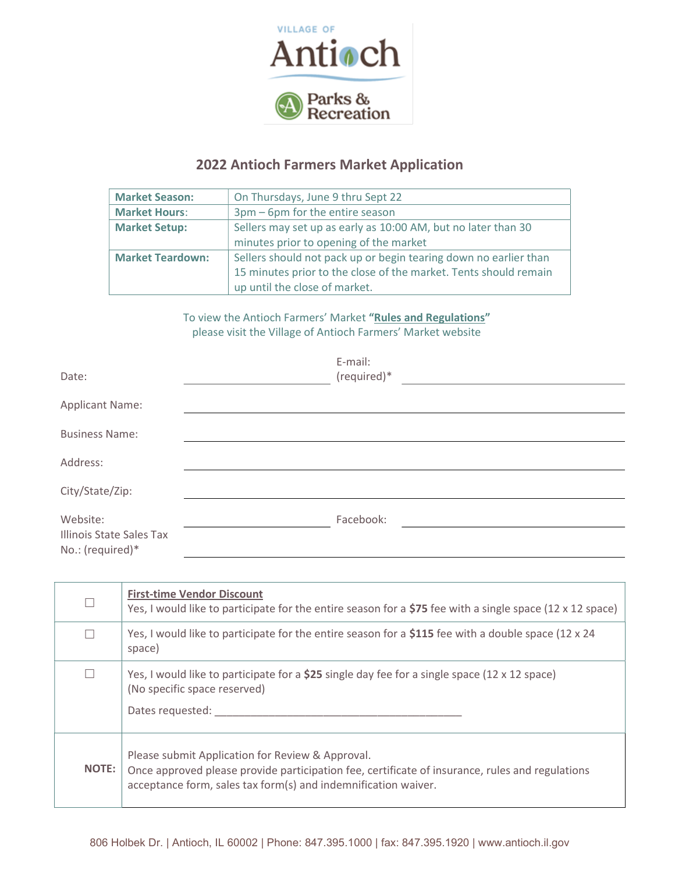

## 2022 Antioch Farmers Market Application

| <b>Market Season:</b>   | On Thursdays, June 9 thru Sept 22                                |
|-------------------------|------------------------------------------------------------------|
| <b>Market Hours:</b>    | 3pm - 6pm for the entire season                                  |
| <b>Market Setup:</b>    | Sellers may set up as early as 10:00 AM, but no later than 30    |
|                         | minutes prior to opening of the market                           |
| <b>Market Teardown:</b> | Sellers should not pack up or begin tearing down no earlier than |
|                         | 15 minutes prior to the close of the market. Tents should remain |
|                         | up until the close of market.                                    |

To view the Antioch Farmers' Market "Rules and Regulations" please visit the Village of Antioch Farmers' Market website

| Date:                                                    | E-mail:<br>(required)* |  |
|----------------------------------------------------------|------------------------|--|
| <b>Applicant Name:</b>                                   |                        |  |
| <b>Business Name:</b>                                    |                        |  |
| Address:                                                 |                        |  |
| City/State/Zip:                                          |                        |  |
| Website:<br>Illinois State Sales Tax<br>No.: (required)* | Facebook:              |  |

| П            | <b>First-time Vendor Discount</b><br>Yes, I would like to participate for the entire season for a \$75 fee with a single space (12 x 12 space)                                                                        |
|--------------|-----------------------------------------------------------------------------------------------------------------------------------------------------------------------------------------------------------------------|
| n.           | Yes, I would like to participate for the entire season for a \$115 fee with a double space (12 x 24<br>space)                                                                                                         |
| n.           | Yes, I would like to participate for a \$25 single day fee for a single space $(12 \times 12 \text{ space})$<br>(No specific space reserved)<br>Dates requested:                                                      |
| <b>NOTE:</b> | Please submit Application for Review & Approval.<br>Once approved please provide participation fee, certificate of insurance, rules and regulations<br>acceptance form, sales tax form(s) and indemnification waiver. |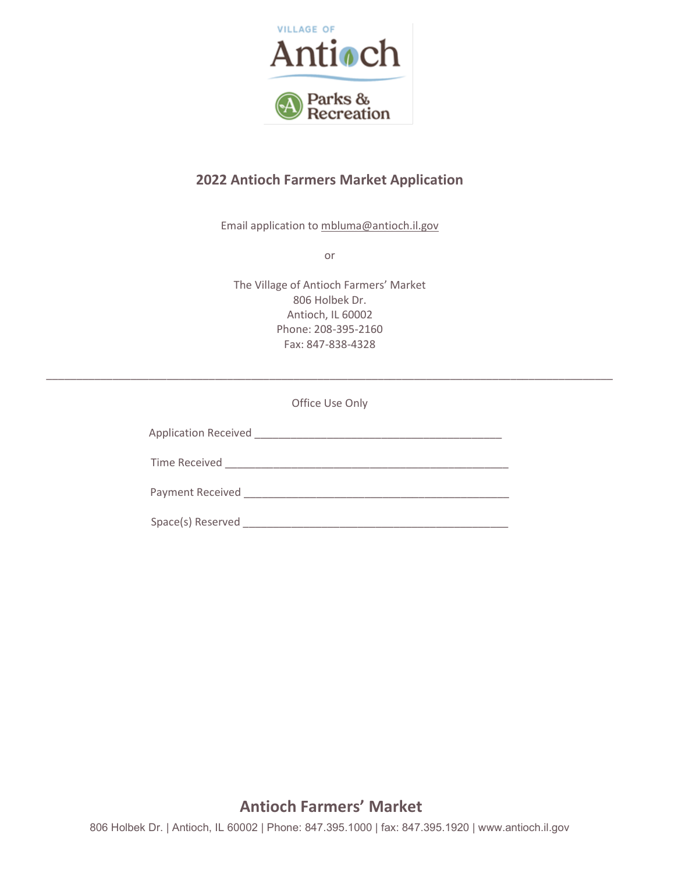

## 2022 Antioch Farmers Market Application

Email application to mbluma@antioch.il.gov

or

The Village of Antioch Farmers' Market 806 Holbek Dr. Antioch, IL 60002 Phone: 208-395-2160 Fax: 847-838-4328

Office Use Only

\_\_\_\_\_\_\_\_\_\_\_\_\_\_\_\_\_\_\_\_\_\_\_\_\_\_\_\_\_\_\_\_\_\_\_\_\_\_\_\_\_\_\_\_\_\_\_\_\_\_\_\_\_\_\_\_\_\_\_\_\_\_\_\_\_\_\_\_\_\_\_\_\_\_\_\_\_\_\_\_\_\_\_\_\_\_\_\_\_\_\_\_\_\_

Application Received \_\_\_\_\_\_\_\_\_\_\_\_\_\_\_\_\_\_\_\_\_\_\_\_\_\_\_\_\_\_\_\_\_\_\_\_\_\_\_\_\_

Time Received \_\_\_\_\_\_\_\_\_\_\_\_\_\_\_\_\_\_\_\_\_\_\_\_\_\_\_\_\_\_\_\_\_\_\_\_\_\_\_\_\_\_\_\_\_\_\_ Payment Received \_\_\_\_\_\_\_\_\_\_\_\_\_\_\_\_\_\_\_\_\_\_\_\_\_\_\_\_\_\_\_\_\_\_\_\_\_\_\_\_\_\_\_\_

Space(s) Reserved \_\_\_\_\_\_\_\_\_\_\_\_\_\_\_\_\_\_\_\_\_\_\_\_\_\_\_\_\_\_\_\_\_\_\_\_\_\_\_\_\_\_\_\_

## Antioch Farmers' Market